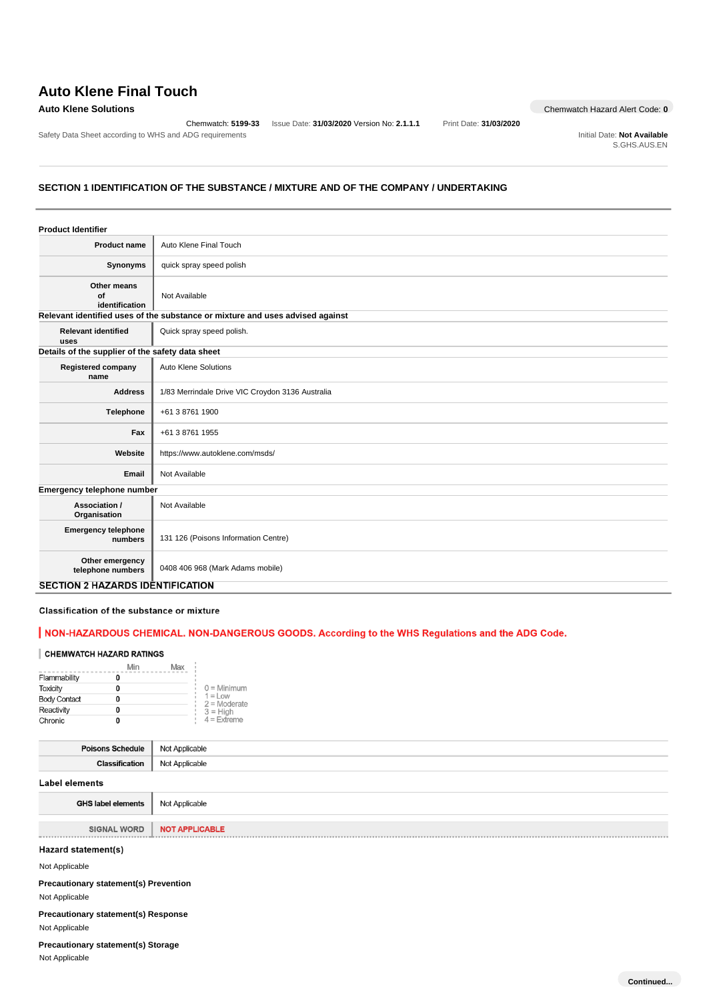# **Auto Klene Final Touch**

Safety Data Sheet according to WHS and ADG requirements **Initial Date: Not Available** Initial Date: Not Available

Chemwatch: **5199-33** Issue Date: **31/03/2020** Version No: **2.1.1.1** Print Date: **31/03/2020**

**Auto Klene Solutions** Chemwatch Hazard Alert Code: 0

S.GHS.AUS.EN

## **SECTION 1 IDENTIFICATION OF THE SUBSTANCE / MIXTURE AND OF THE COMPANY / UNDERTAKING**

| <b>Product Identifier</b>                        |                                                                               |
|--------------------------------------------------|-------------------------------------------------------------------------------|
| <b>Product name</b>                              | Auto Klene Final Touch                                                        |
| Synonyms                                         | quick spray speed polish                                                      |
| Other means<br>of<br>identification              | Not Available                                                                 |
|                                                  | Relevant identified uses of the substance or mixture and uses advised against |
| <b>Relevant identified</b><br>uses               | Quick spray speed polish.                                                     |
| Details of the supplier of the safety data sheet |                                                                               |
| <b>Registered company</b><br>name                | <b>Auto Klene Solutions</b>                                                   |
| <b>Address</b>                                   | 1/83 Merrindale Drive VIC Croydon 3136 Australia                              |
| Telephone                                        | +61 3 8761 1900                                                               |
| Fax                                              | +61 3 8761 1955                                                               |
| Website                                          | https://www.autoklene.com/msds/                                               |
| Email                                            | Not Available                                                                 |
| Emergency telephone number                       |                                                                               |
| Association /<br>Organisation                    | Not Available                                                                 |
| <b>Emergency telephone</b><br>numbers            | 131 126 (Poisons Information Centre)                                          |
| Other emergency<br>telephone numbers             | 0408 406 968 (Mark Adams mobile)                                              |
| <b>SECTION 2 HAZARDS IDENTIFICATION</b>          |                                                                               |

## Classification of the substance or mixture

## | NON-HAZARDOUS CHEMICAL. NON-DANGEROUS GOODS. According to the WHS Regulations and the ADG Code.

## CHEMWATCH HAZARD RATINGS

|                     | Max<br>Min |                              |
|---------------------|------------|------------------------------|
| Flammability        |            |                              |
| <b>Toxicity</b>     |            | $0 =$ Minimum                |
| <b>Body Contact</b> |            | $1 = L$ ow<br>$2 =$ Moderate |
| Reactivity          |            | $3 = H$ igh                  |
| Chronic             |            | $4$ = Extreme                |

| <b>Poisons Schedule</b> | Not Applicable |
|-------------------------|----------------|
| Classification          | Not Applicable |
|                         |                |

### **Label elements**

| <b>GHS label elements</b>   Not Applicable |                |
|--------------------------------------------|----------------|
|                                            |                |
| <b>SIGNAL WORD</b>                         | NOT APPLICABLE |

#### Hazard statement(s)

Not Applicable

**Precautionary statement(s) Prevention** Not Applicable

**Precautionary statement(s) Response** Not Applicable

**Precautionary statement(s) Storage**

Not Applicable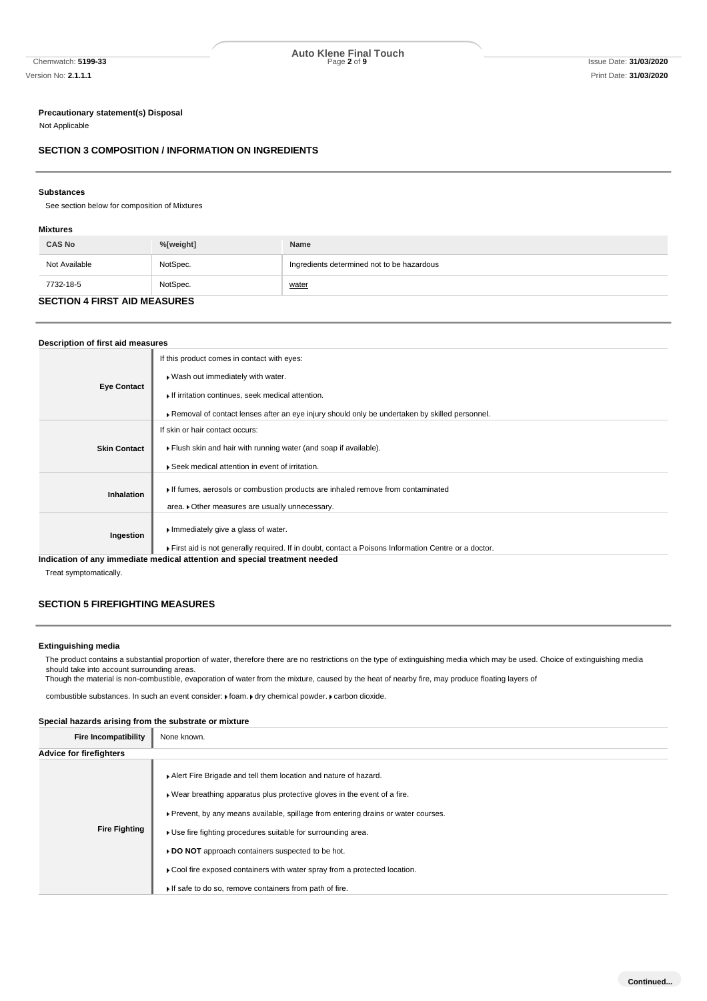#### **Precautionary statement(s) Disposal**

Not Applicable

## **SECTION 3 COMPOSITION / INFORMATION ON INGREDIENTS**

#### **Substances**

See section below for composition of Mixtures

### **Mixtures**

| <b>CAS No</b>                       | %[weight] | Name                                       |
|-------------------------------------|-----------|--------------------------------------------|
| Not Available                       | NotSpec.  | Ingredients determined not to be hazardous |
| 7732-18-5                           | NotSpec.  | <u>water</u>                               |
| <b>SECTION A FIDST AID MEASHBES</b> |           |                                            |

#### **SECTION 4 FIRST AID MEASURES**

## **Description of first aid measures Eye Contact** If this product comes in contact with eyes: Wash out immediately with water.  $\blacktriangleright$  If irritation continues, seek medical attention. Removal of contact lenses after an eye injury should only be undertaken by skilled personnel. **Skin Contact** If skin or hair contact occurs: Flush skin and hair with running water (and soap if available). Seek medical attention in event of irritation. **Inhalation If** fumes, aerosols or combustion products are inhaled remove from contaminated area.  $\blacktriangleright$  Other measures are usually unnecessary. **Ingestion** Immediately give a glass of water. First aid is not generally required. If in doubt, contact a Poisons Information Centre or a doctor. **Indication of any immediate medical attention and special treatment needed**

Treat symptomatically.

## **SECTION 5 FIREFIGHTING MEASURES**

#### **Extinguishing media**

The product contains a substantial proportion of water, therefore there are no restrictions on the type of extinguishing media which may be used. Choice of extinguishing media should take into account surrounding areas.

Though the material is non-combustible, evaporation of water from the mixture, caused by the heat of nearby fire, may produce floating layers of

combustible substances. In such an event consider:  $\blacktriangleright$  foam.  $\blacktriangleright$  dry chemical powder.  $\blacktriangleright$  carbon dioxide.

#### **Special hazards arising from the substrate or mixture**

| <b>Fire Incompatibility</b> | None known.                                                                                                                                                                                                                                                                                                                                                                                                                                                                                      |
|-----------------------------|--------------------------------------------------------------------------------------------------------------------------------------------------------------------------------------------------------------------------------------------------------------------------------------------------------------------------------------------------------------------------------------------------------------------------------------------------------------------------------------------------|
| Advice for firefighters     |                                                                                                                                                                                                                                                                                                                                                                                                                                                                                                  |
| <b>Fire Fighting</b>        | Alert Fire Brigade and tell them location and nature of hazard.<br>► Wear breathing apparatus plus protective gloves in the event of a fire.<br>► Prevent, by any means available, spillage from entering drains or water courses.<br>► Use fire fighting procedures suitable for surrounding area.<br>▶ DO NOT approach containers suspected to be hot.<br>► Cool fire exposed containers with water spray from a protected location.<br>If safe to do so, remove containers from path of fire. |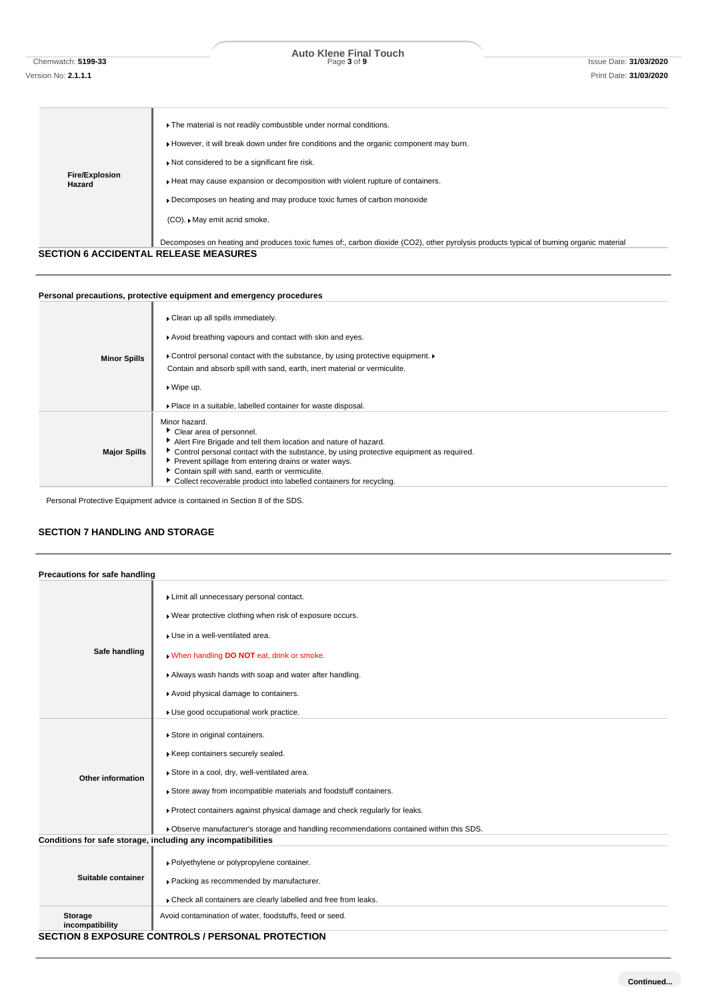Chemwatch: **5199-33** Page **3** of **9** Issue Date: **31/03/2020 Auto Klene Final Touch**

| <b>Fire/Explosion</b><br>Hazard              | The material is not readily combustible under normal conditions.<br>However, it will break down under fire conditions and the organic component may burn.<br>Not considered to be a significant fire risk.<br>Heat may cause expansion or decomposition with violent rupture of containers.<br>• Decomposes on heating and may produce toxic fumes of carbon monoxide<br>(CO). ► May emit acrid smoke.<br>Decomposes on heating and produces toxic fumes of:, carbon dioxide (CO2), other pyrolysis products typical of burning organic material |
|----------------------------------------------|--------------------------------------------------------------------------------------------------------------------------------------------------------------------------------------------------------------------------------------------------------------------------------------------------------------------------------------------------------------------------------------------------------------------------------------------------------------------------------------------------------------------------------------------------|
| <b>SECTION 6 ACCIDENTAL RELEASE MEASURES</b> |                                                                                                                                                                                                                                                                                                                                                                                                                                                                                                                                                  |
|                                              |                                                                                                                                                                                                                                                                                                                                                                                                                                                                                                                                                  |

## **Personal precautions, protective equipment and emergency procedures**

| <b>Minor Spills</b> | Clean up all spills immediately.                                                        |
|---------------------|-----------------------------------------------------------------------------------------|
|                     | Avoid breathing vapours and contact with skin and eyes.                                 |
|                     | • Control personal contact with the substance, by using protective equipment.           |
|                     | Contain and absorb spill with sand, earth, inert material or vermiculite.               |
|                     | $\triangleright$ Wipe up.                                                               |
|                     | • Place in a suitable, labelled container for waste disposal.                           |
|                     | Minor hazard.                                                                           |
| <b>Major Spills</b> | Clear area of personnel.                                                                |
|                     | Alert Fire Brigade and tell them location and nature of hazard.                         |
|                     | Control personal contact with the substance, by using protective equipment as required. |
|                     | Prevent spillage from entering drains or water ways.                                    |
|                     | Contain spill with sand, earth or vermiculite.                                          |
|                     | Collect recoverable product into labelled containers for recycling.                     |

Personal Protective Equipment advice is contained in Section 8 of the SDS.

## **SECTION 7 HANDLING AND STORAGE**

| Precautions for safe handling |                                                                                                                                                                                                                                                                                                                                                                 |
|-------------------------------|-----------------------------------------------------------------------------------------------------------------------------------------------------------------------------------------------------------------------------------------------------------------------------------------------------------------------------------------------------------------|
| Safe handling                 | Limit all unnecessary personal contact.<br>▶ Wear protective clothing when risk of exposure occurs.<br>Use in a well-ventilated area.<br>. When handling DO NOT eat, drink or smoke.<br>Always wash hands with soap and water after handling.<br>Avoid physical damage to containers.                                                                           |
|                               | Use good occupational work practice.                                                                                                                                                                                                                                                                                                                            |
| <b>Other information</b>      | Store in original containers.<br>Keep containers securely sealed.<br>Store in a cool, dry, well-ventilated area.<br>Store away from incompatible materials and foodstuff containers.<br>▶ Protect containers against physical damage and check regularly for leaks.<br>▶ Observe manufacturer's storage and handling recommendations contained within this SDS. |
|                               | Conditions for safe storage, including any incompatibilities                                                                                                                                                                                                                                                                                                    |
| Suitable container            | ▶ Polyethylene or polypropylene container.<br>▶ Packing as recommended by manufacturer.<br>Check all containers are clearly labelled and free from leaks.                                                                                                                                                                                                       |
| Storage<br>incompatibility    | Avoid contamination of water, foodstuffs, feed or seed.                                                                                                                                                                                                                                                                                                         |
|                               | <b>SECTION 8 EXPOSURE CONTROLS / PERSONAL PROTECTION</b>                                                                                                                                                                                                                                                                                                        |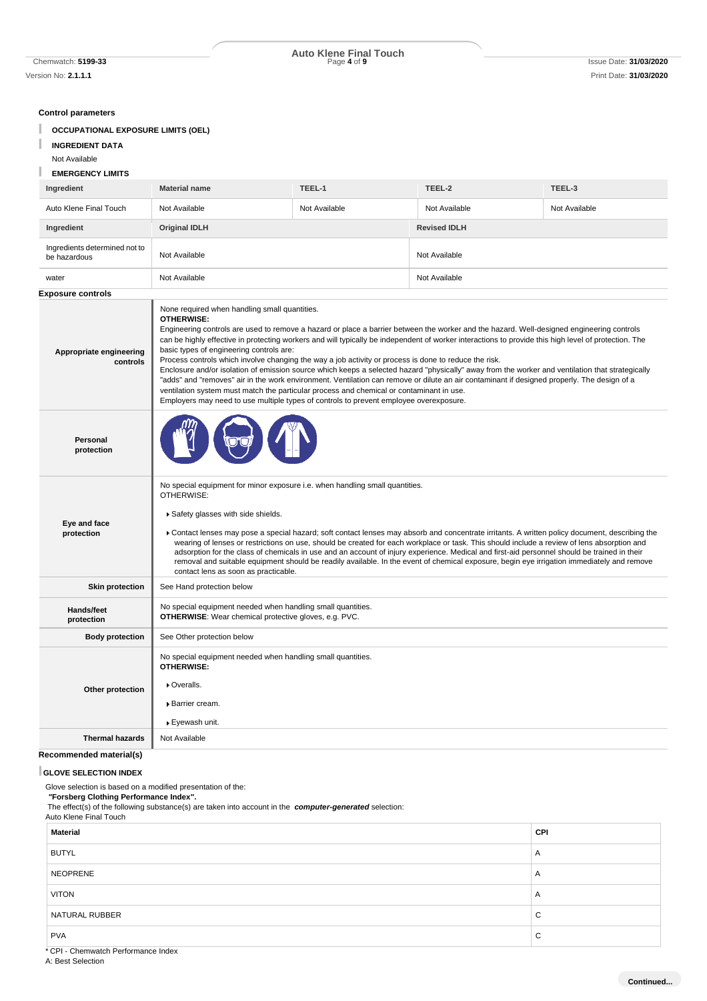Version No: **2.1.1.1** Print Date: **31/03/2020**

# Chemwatch: **5199-33** Page **4** of **9** Issue Date: **31/03/2020 Auto Klene Final Touch**

**Control parameters**

- **OCCUPATIONAL EXPOSURE LIMITS (OEL)**
- **INGREDIENT DATA**
- Not Available
- **EMERGENCY LIMITS**

## **Ingredient Material name TEEL-1 TEEL-2 TEEL-3** Auto Klene Final Touch Not Available Not Available Not Available Not Available **Ingredient Original IDLH Revised IDLH** Ingredients determined not to be hazardous Not Available Not Available Not Available water Not Available Not Available **Exposure controls Appropriate engineering controls** None required when handling small quantities. **OTHERWISE:** Engineering controls are used to remove a hazard or place a barrier between the worker and the hazard. Well-designed engineering controls can be highly effective in protecting workers and will typically be independent of worker interactions to provide this high level of protection. The basic types of engineering controls are: Process controls which involve changing the way a job activity or process is done to reduce the risk. Enclosure and/or isolation of emission source which keeps a selected hazard "physically" away from the worker and ventilation that strategically "adds" and "removes" air in the work environment. Ventilation can remove or dilute an air contaminant if designed properly. The design of a ventilation system must match the particular process and chemical or contaminant in use. Employers may need to use multiple types of controls to prevent employee overexposure. **Personal protection Eye and face protection** No special equipment for minor exposure i.e. when handling small quantities. **OTHERWISE:** Safety glasses with side shields. Contact lenses may pose a special hazard; soft contact lenses may absorb and concentrate irritants. A written policy document, describing the wearing of lenses or restrictions on use, should be created for each workplace or task. This should include a review of lens absorption and adsorption for the class of chemicals in use and an account of injury experience. Medical and first-aid personnel should be trained in their removal and suitable equipment should be readily available. In the event of chemical exposure, begin eye irrigation immediately and remove contact lens as soon as practicable. **Skin protection** | See Hand protection below **Hands/feet protection** No special equipment needed when handling small quantities. **OTHERWISE**: Wear chemical protective gloves, e.g. PVC. **Body protection** See Other protection below **Other protection** No special equipment needed when handling small quantities. **OTHERWISE:** Overalls. Barrier cream. Eyewash unit. **Thermal hazards** Not Available

## **Recommended material(s)**

#### **GLOVE SELECTION INDEX**

Glove selection is based on a modified presentation of the:

### *"***Forsberg Clothing Performance Index".**

The effect(s) of the following substance(s) are taken into account in the *computer-generated* selection:

## Auto Klene Final Touch

| <b>Material</b> | CPI         |
|-----------------|-------------|
| <b>BUTYL</b>    | A           |
| <b>NEOPRENE</b> | A           |
| <b>VITON</b>    | A           |
| NATURAL RUBBER  | $\sim$<br>◡ |
| <b>PVA</b>      | $\sim$<br>◡ |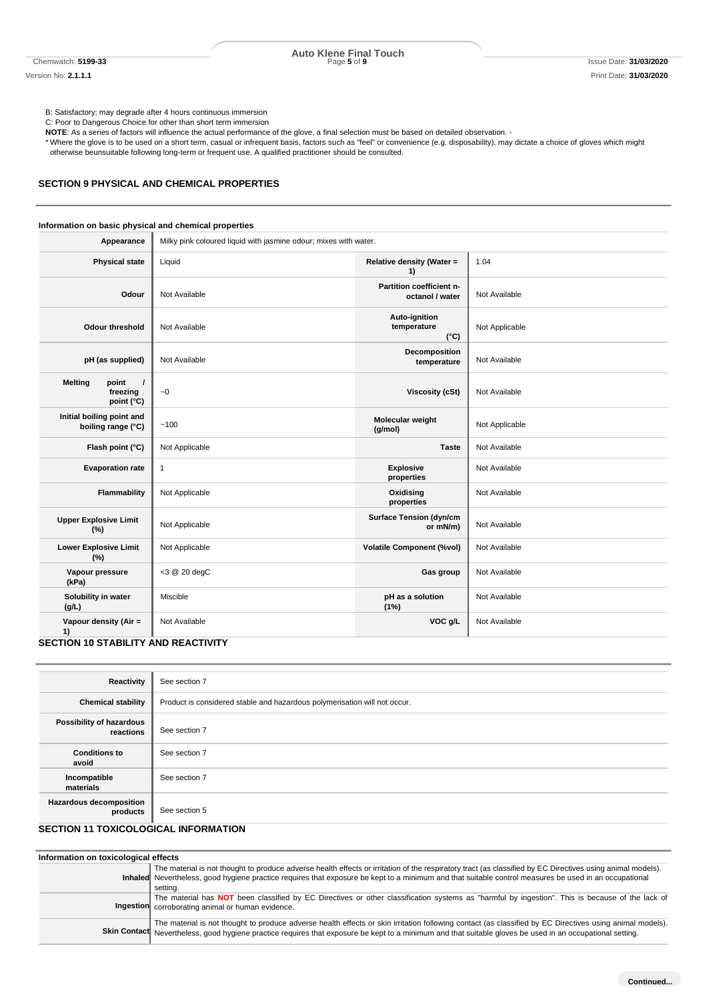Chemwatch: **5199-33** Page **5** of **9** Issue Date: **31/03/2020 Auto Klene Final Touch**

B: Satisfactory; may degrade after 4 hours continuous immersion

C: Poor to Dangerous Choice for other than short term immersion **NOTE**: As a series of factors will influence the actual performance of the glove, a final selection must be based on detailed observation. -

\* Where the glove is to be used on a short term, casual or infrequent basis, factors such as "feel" or convenience (e.g. disposability), may dictate a choice of gloves which might otherwise beunsuitable following long-term or frequent use. A qualified practitioner should be consulted.

#### **SECTION 9 PHYSICAL AND CHEMICAL PROPERTIES**

## **Information on basic physical and chemical properties**

| Appearance                                                    | Milky pink coloured liquid with jasmine odour; mixes with water. |                                               |                |
|---------------------------------------------------------------|------------------------------------------------------------------|-----------------------------------------------|----------------|
| <b>Physical state</b>                                         | Liquid                                                           | Relative density (Water =<br>1)               | 1.04           |
| Odour                                                         | Not Available                                                    | Partition coefficient n-<br>octanol / water   | Not Available  |
| Odour threshold                                               | Not Available                                                    | Auto-ignition<br>temperature<br>$(^{\circ}C)$ | Not Applicable |
| pH (as supplied)                                              | Not Available                                                    | Decomposition<br>temperature                  | Not Available  |
| <b>Melting</b><br>point<br>$\prime$<br>freezing<br>point (°C) | $\sim\!0$                                                        | <b>Viscosity (cSt)</b>                        | Not Available  |
| Initial boiling point and<br>boiling range (°C)               | ~100                                                             | Molecular weight<br>(g/mol)                   | Not Applicable |
| Flash point (°C)                                              | Not Applicable                                                   | <b>Taste</b>                                  | Not Available  |
| <b>Evaporation rate</b>                                       | $\mathbf{1}$                                                     | <b>Explosive</b><br>properties                | Not Available  |
| Flammability                                                  | Not Applicable                                                   | Oxidising<br>properties                       | Not Available  |
| <b>Upper Explosive Limit</b><br>(%)                           | Not Applicable                                                   | <b>Surface Tension (dyn/cm</b><br>or mN/m)    | Not Available  |
| <b>Lower Explosive Limit</b><br>(%)                           | Not Applicable                                                   | <b>Volatile Component (%vol)</b>              | Not Available  |
| Vapour pressure<br>(kPa)                                      | <3 @ 20 degC                                                     | Gas group                                     | Not Available  |
| Solubility in water<br>(g/L)                                  | Miscible                                                         | pH as a solution<br>(1%)                      | Not Available  |
| Vapour density (Air =<br>1)                                   | Not Available                                                    | VOC g/L                                       | Not Available  |
| <b>SECTION 10 STABILITY AND REACTIVITY</b>                    |                                                                  |                                               |                |

## **Reactivity** See section 7 **Chemical stability** Product is considered stable and hazardous polymerisation will not occur. **Possibility of hazardous**  See section 7 **Conditions to avoid** See section 7 **Incompatible materials** See section 7 **Hazardous decomposition**  See section 5

## **SECTION 11 TOXICOLOGICAL INFORMATION**

| Information on toxicological effects |                                                                                                                                                                                                                                                                                                                                 |
|--------------------------------------|---------------------------------------------------------------------------------------------------------------------------------------------------------------------------------------------------------------------------------------------------------------------------------------------------------------------------------|
|                                      | The material is not thought to produce adverse health effects or irritation of the respiratory tract (as classified by EC Directives using animal models).<br>Inhaled Nevertheless, good hygiene practice requires that exposure be kept to a minimum and that suitable control measures be used in an occupational<br>settina. |
|                                      | The material has NOT been classified by EC Directives or other classification systems as "harmful by ingestion". This is because of the lack of<br>Ingestion corroborating animal or human evidence.                                                                                                                            |
|                                      | The material is not thought to produce adverse health effects or skin irritation following contact (as classified by EC Directives using animal models).<br>Skin Contact Nevertheless, good hygiene practice requires that exposure be kept to a minimum and that suitable gloves be used in an occupational setting.           |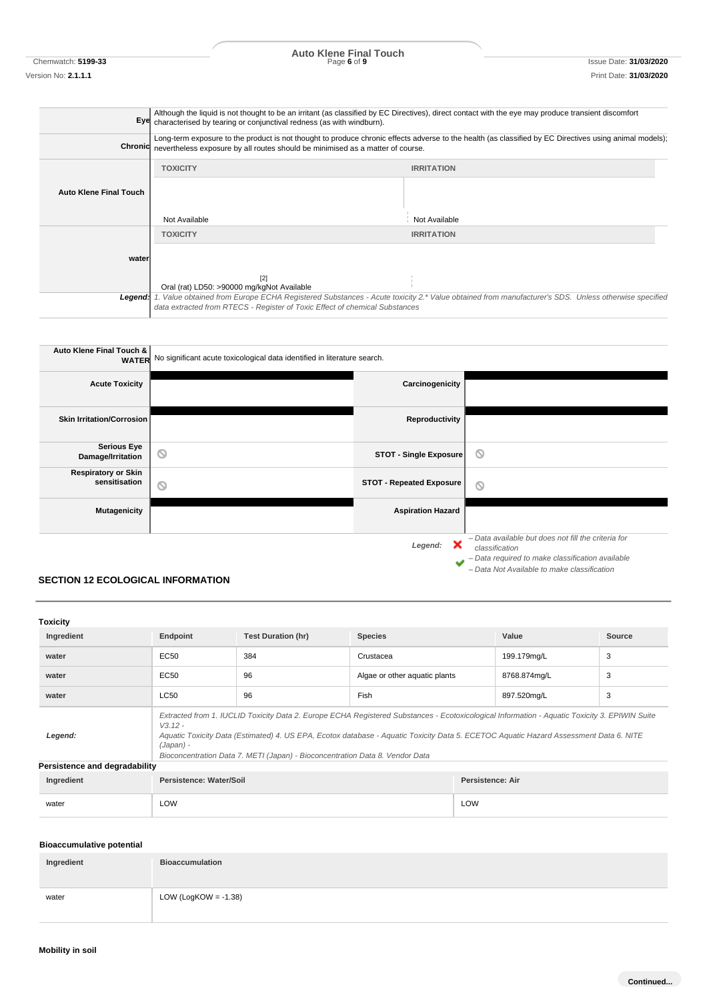Chemwatch: **5199-33** Page **6** of **9** Issue Date: **31/03/2020 Auto Klene Final Touch**

## **Eye** Although the liquid is not thought to be an irritant (as classified by EC Directives), direct contact with the eye may produce transient discomfort characterised by tearing or conjunctival redness (as with windburn). **Chroni** Long-term exposure to the product is not thought to produce chronic effects adverse to the health (as classified by EC Directives using animal models); nevertheless exposure by all routes should be minimised as a matter of course. **Auto Klene Final Touch TOXICITY IRRITATION** Not Available Not Available **wate TOXICITY IRRITATION** [2] Oral (rat) LD50: >90000 mg/kgNot Available *Legend: 1. Value obtained from Europe ECHA Registered Substances - Acute toxicity 2.\* Value obtained from manufacturer's SDS. Unless otherwise specified data extracted from RTECS - Register of Toxic Effect of chemical Substances*

| <b>Auto Klene Final Touch &amp;</b>         | <b>WATER</b> No significant acute toxicological data identified in literature search. |                                 |                                                                                                                                                                          |
|---------------------------------------------|---------------------------------------------------------------------------------------|---------------------------------|--------------------------------------------------------------------------------------------------------------------------------------------------------------------------|
| <b>Acute Toxicity</b>                       |                                                                                       | Carcinogenicity                 |                                                                                                                                                                          |
| <b>Skin Irritation/Corrosion</b>            |                                                                                       | Reproductivity                  |                                                                                                                                                                          |
| <b>Serious Eye</b><br>Damage/Irritation     | $\circlearrowright$                                                                   | STOT - Single Exposure          | O                                                                                                                                                                        |
| <b>Respiratory or Skin</b><br>sensitisation | $\circ$                                                                               | <b>STOT - Repeated Exposure</b> | O                                                                                                                                                                        |
| <b>Mutagenicity</b>                         |                                                                                       | <b>Aspiration Hazard</b>        |                                                                                                                                                                          |
|                                             |                                                                                       | ×<br>Legend:<br>مە              | - Data available but does not fill the criteria for<br>classification<br>- Data required to make classification available<br>- Data Not Available to make classification |

## **SECTION 12 ECOLOGICAL INFORMATION**

| <b>Toxicity</b>               |                                                                                                                                                                                                                                                                                                                                                                                                   |                           |                               |                  |        |
|-------------------------------|---------------------------------------------------------------------------------------------------------------------------------------------------------------------------------------------------------------------------------------------------------------------------------------------------------------------------------------------------------------------------------------------------|---------------------------|-------------------------------|------------------|--------|
| Ingredient                    | Endpoint                                                                                                                                                                                                                                                                                                                                                                                          | <b>Test Duration (hr)</b> | <b>Species</b>                | Value            | Source |
| water                         | EC50                                                                                                                                                                                                                                                                                                                                                                                              | 384                       | Crustacea                     | 199.179mg/L      | 3      |
| water                         | EC50                                                                                                                                                                                                                                                                                                                                                                                              | 96                        | Algae or other aquatic plants | 8768.874mg/L     | 3      |
| water                         | <b>LC50</b>                                                                                                                                                                                                                                                                                                                                                                                       | 96                        | Fish                          | 897.520mg/L      | 3      |
| Legend:                       | Extracted from 1. IUCLID Toxicity Data 2. Europe ECHA Registered Substances - Ecotoxicological Information - Aquatic Toxicity 3. EPIWIN Suite<br>$V.3.12 -$<br>Aquatic Toxicity Data (Estimated) 4. US EPA, Ecotox database - Aquatic Toxicity Data 5. ECETOC Aquatic Hazard Assessment Data 6. NITE<br>(Japan) -<br>Bioconcentration Data 7. METI (Japan) - Bioconcentration Data 8. Vendor Data |                           |                               |                  |        |
| Persistence and degradability |                                                                                                                                                                                                                                                                                                                                                                                                   |                           |                               |                  |        |
| Ingredient                    | Persistence: Water/Soil                                                                                                                                                                                                                                                                                                                                                                           |                           |                               | Persistence: Air |        |

| Ingredient | <b>Persistence: Water/Soil</b> | <b>Persistence: Air</b> |
|------------|--------------------------------|-------------------------|
| water      | LOW                            | LOW                     |

## **Bioaccumulative potential**

| Ingredient | <b>Bioaccumulation</b>  |
|------------|-------------------------|
| water      | LOW (LogKOW = $-1.38$ ) |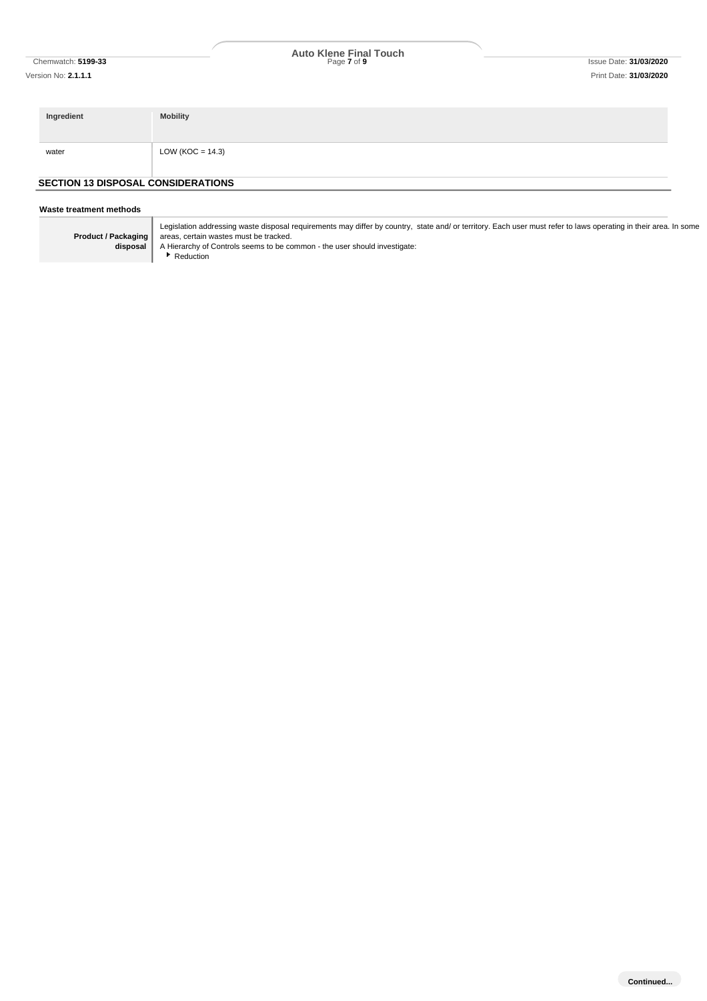# Chemwatch: **5199-33** Page **7** of **9** Issue Date: **31/03/2020 Auto Klene Final Touch**

| Ingredient                                | <b>Mobility</b>     |
|-------------------------------------------|---------------------|
| water                                     | LOW (KOC = $14.3$ ) |
| <b>SECTION 13 DISPOSAL CONSIDERATIONS</b> |                     |

#### **Waste treatment methods**

| Product / Packaging<br>disposal |
|---------------------------------|
|---------------------------------|

Legislation addressing waste disposal requirements may differ by country, state and/ or territory. Each user must refer to laws operating in their area. In some areas, certain wastes must be tracked.

A Hierarchy of Controls seems to be common - the user should investigate:

Reduction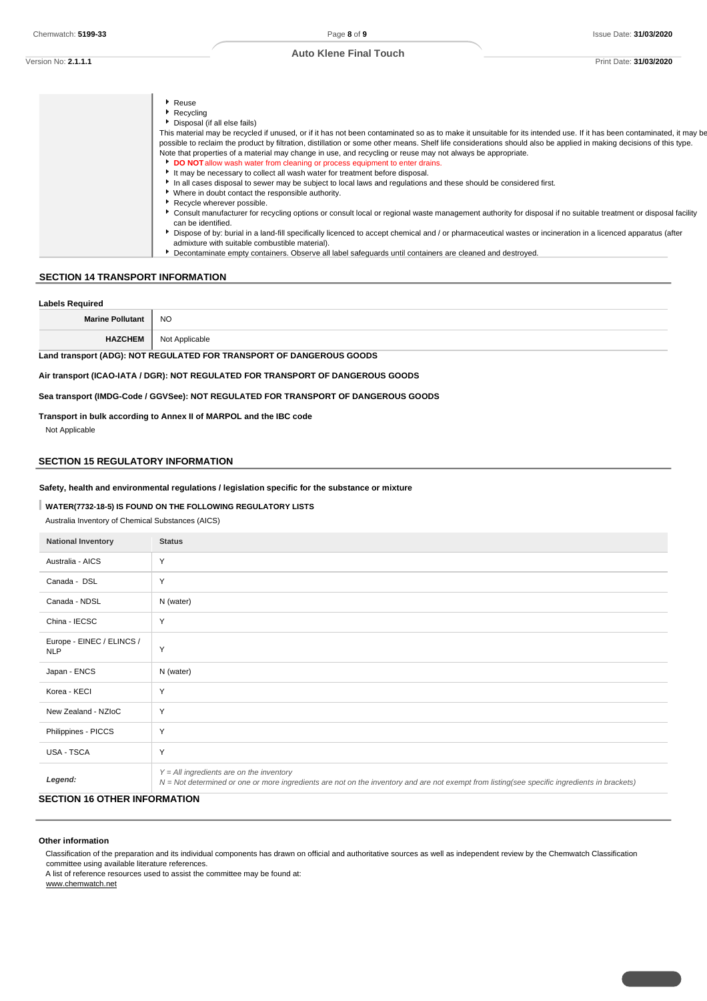Version No: **2.1.1.1** Print Date: **31/03/2020**

| Reuse                                                                                                                                                                               |
|-------------------------------------------------------------------------------------------------------------------------------------------------------------------------------------|
| Recycling                                                                                                                                                                           |
| Disposal (if all else fails)                                                                                                                                                        |
| This material may be recycled if unused, or if it has not been contaminated so as to make it unsuitable for its intended use. If it has been contaminated, it may be                |
| possible to reclaim the product by filtration, distillation or some other means. Shelf life considerations should also be applied in making decisions of this type.                 |
| Note that properties of a material may change in use, and recycling or reuse may not always be appropriate.                                                                         |
| DO NOT allow wash water from cleaning or process equipment to enter drains.                                                                                                         |
| It may be necessary to collect all wash water for treatment before disposal.                                                                                                        |
| In all cases disposal to sewer may be subject to local laws and regulations and these should be considered first.                                                                   |
| * Where in doubt contact the responsible authority.                                                                                                                                 |
| Recycle wherever possible.                                                                                                                                                          |
| Consult manufacturer for recycling options or consult local or regional waste management authority for disposal if no suitable treatment or disposal facility<br>can be identified. |
| Dispose of by: burial in a land-fill specifically licenced to accept chemical and / or pharmaceutical wastes or incineration in a licenced apparatus (after                         |
| admixture with suitable combustible material).                                                                                                                                      |
| Decontaminate empty containers. Observe all label safequards until containers are cleaned and destroyed.                                                                            |

## **SECTION 14 TRANSPORT INFORMATION**

#### **Labels Required**

| Marino Pollutant<br>лан<br><b>IVIGHT</b> | <b>NO</b>                                |
|------------------------------------------|------------------------------------------|
| <b>HAZCHEM</b>                           | ≅"cable<br>Annli<br><b>JUQUID</b><br>ישי |

## **Land transport (ADG): NOT REGULATED FOR TRANSPORT OF DANGEROUS GOODS**

**Air transport (ICAO-IATA / DGR): NOT REGULATED FOR TRANSPORT OF DANGEROUS GOODS**

## **Sea transport (IMDG-Code / GGVSee): NOT REGULATED FOR TRANSPORT OF DANGEROUS GOODS**

#### **Transport in bulk according to Annex II of MARPOL and the IBC code**

Not Applicable

## **SECTION 15 REGULATORY INFORMATION**

#### **Safety, health and environmental regulations / legislation specific for the substance or mixture**

## **WATER(7732-18-5) IS FOUND ON THE FOLLOWING REGULATORY LISTS**

Australia Inventory of Chemical Substances (AICS)

| <b>National Inventory</b>               | <b>Status</b>                                                                                                                                                                                |
|-----------------------------------------|----------------------------------------------------------------------------------------------------------------------------------------------------------------------------------------------|
| Australia - AICS                        | Y                                                                                                                                                                                            |
| Canada - DSL                            | Y                                                                                                                                                                                            |
| Canada - NDSL                           | N (water)                                                                                                                                                                                    |
| China - IECSC                           | Y                                                                                                                                                                                            |
| Europe - EINEC / ELINCS /<br><b>NLP</b> | Y                                                                                                                                                                                            |
| Japan - ENCS                            | N (water)                                                                                                                                                                                    |
| Korea - KECI                            | Y                                                                                                                                                                                            |
| New Zealand - NZIoC                     | Y                                                                                                                                                                                            |
| Philippines - PICCS                     | Y                                                                                                                                                                                            |
| USA - TSCA                              | Y                                                                                                                                                                                            |
| Legend:                                 | $Y = All$ ingredients are on the inventory<br>$N = Not$ determined or one or more ingredients are not on the inventory and are not exempt from listing(see specific ingredients in brackets) |

## **SECTION 16 OTHER INFORMATION**

#### **Other information**

Classification of the preparation and its individual components has drawn on official and authoritative sources as well as independent review by the Chemwatch Classification committee using available literature references.

A list of reference resources used to assist the committee may be found at: www.chemwatch.net